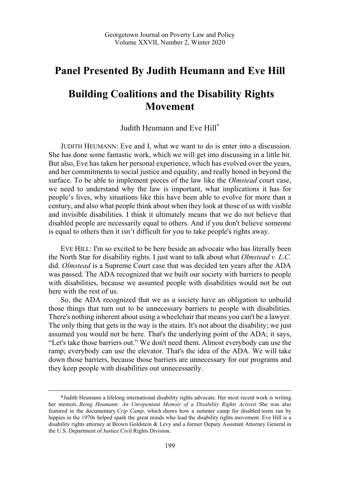## **Panel Presented By Judith Heumann and Eve Hill**

## **Building Coalitions and the Disability Rights Movement**

Judith Heumann and Eve Hill\*

JUDITH HEUMANN: Eve and I, what we want to do is enter into a discussion. She has done some fantastic work, which we will get into discussing in a little bit. But also, Eve has taken her personal experience, which has evolved over the years, and her commitments to social justice and equality, and really honed in beyond the surface. To be able to implement pieces of the law like the *Olmstead* court case, we need to understand why the law is important, what implications it has for people's lives, why situations like this have been able to evolve for more than a century, and also what people think about when they look at those of us with visible and invisible disabilities. I think it ultimately means that we do not believe that disabled people are necessarily equal to others. And if you don't believe someone is equal to others then it isn't difficult for you to take people's rights away.

EVE HILL: I'm so excited to be here beside an advocate who has literally been the North Star for disability rights. I just want to talk about what *Olmstead v. L.C.* did. *Olmstead* is a Supreme Court case that was decided ten years after the ADA was passed. The ADA recognized that we built our society with barriers to people with disabilities, because we assumed people with disabilities would not be out here with the rest of us.

So, the ADA recognized that we as a society have an obligation to unbuild those things that turn out to be unnecessary barriers to people with disabilities. There's nothing inherent about using a wheelchair that means you can't be a lawyer. The only thing that gets in the way is the stairs. It's not about the disability; we just assumed you would not be here. That's the underlying point of the ADA; it says, "Let's take those barriers out." We don't need them. Almost everybody can use the ramp; everybody can use the elevator. That's the idea of the ADA. We will take down those barriers, because those barriers are unnecessary for our programs and they keep people with disabilities out unnecessarily.

 $\overline{a}$ 

<sup>\*</sup>Judith Heumann a lifelong international disability rights advocate. Her most recent work is writing her memoir, *Being Heumann: An Unrepentant Memoir of a Disability Rights Activist.* She was also featured in the documentary *Crip Camp*, which shows how a summer camp for disabled teens run by hippies in the 1970s helped spark the great minds who lead the disability rights movement. Eve Hill is a disability rights attorney at Brown Goldstein & Levy and a former Deputy Assistant Attorney General in the U.S. Department of Justice Civil Rights Division.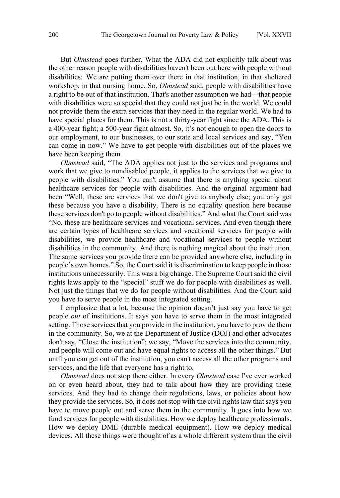But *Olmstead* goes further. What the ADA did not explicitly talk about was the other reason people with disabilities haven't been out here with people without disabilities: We are putting them over there in that institution, in that sheltered workshop, in that nursing home. So, *Olmstead* said, people with disabilities have a right to be out of that institution. That's another assumption we had—that people with disabilities were so special that they could not just be in the world. We could not provide them the extra services that they need in the regular world. We had to have special places for them. This is not a thirty-year fight since the ADA. This is a 400-year fight; a 500-year fight almost. So, it's not enough to open the doors to our employment, to our businesses, to our state and local services and say, "You can come in now." We have to get people with disabilities out of the places we have been keeping them.

*Olmstead* said, "The ADA applies not just to the services and programs and work that we give to nondisabled people, it applies to the services that we give to people with disabilities." You can't assume that there is anything special about healthcare services for people with disabilities. And the original argument had been "Well, these are services that we don't give to anybody else; you only get these because you have a disability. There is no equality question here because these services don't go to people without disabilities." And what the Court said was "No, these are healthcare services and vocational services. And even though there are certain types of healthcare services and vocational services for people with disabilities, we provide healthcare and vocational services to people without disabilities in the community. And there is nothing magical about the institution. The same services you provide there can be provided anywhere else, including in people's own homes." So, the Court said it is discrimination to keep people in those institutions unnecessarily. This was a big change. The Supreme Court said the civil rights laws apply to the "special" stuff we do for people with disabilities as well. Not just the things that we do for people without disabilities. And the Court said you have to serve people in the most integrated setting.

I emphasize that a lot, because the opinion doesn't just say you have to get people *out* of institutions. It says you have to serve them in the most integrated setting. Those services that you provide in the institution, you have to provide them in the community. So, we at the Department of Justice (DOJ) and other advocates don't say, "Close the institution"; we say, "Move the services into the community, and people will come out and have equal rights to access all the other things." But until you can get out of the institution, you can't access all the other programs and services, and the life that everyone has a right to.

*Olmstead* does not stop there either. In every *Olmstead* case I've ever worked on or even heard about, they had to talk about how they are providing these services. And they had to change their regulations, laws, or policies about how they provide the services. So, it does not stop with the civil rights law that says you have to move people out and serve them in the community. It goes into how we fund services for people with disabilities. How we deploy healthcare professionals. How we deploy DME (durable medical equipment). How we deploy medical devices. All these things were thought of as a whole different system than the civil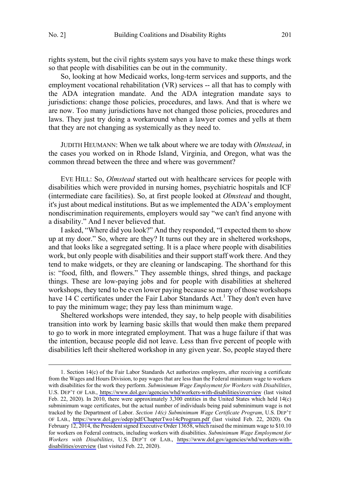$\overline{a}$ 

rights system, but the civil rights system says you have to make these things work so that people with disabilities can be out in the community.

So, looking at how Medicaid works, long-term services and supports, and the employment vocational rehabilitation (VR) services -- all that has to comply with the ADA integration mandate. And the ADA integration mandate says to jurisdictions: change those policies, procedures, and laws. And that is where we are now. Too many jurisdictions have not changed those policies, procedures and laws. They just try doing a workaround when a lawyer comes and yells at them that they are not changing as systemically as they need to.

JUDITH HEUMANN: When we talk about where we are today with *Olmstead*, in the cases you worked on in Rhode Island, Virginia, and Oregon, what was the common thread between the three and where was government?

EVE HILL: So, *Olmstead* started out with healthcare services for people with disabilities which were provided in nursing homes, psychiatric hospitals and ICF (intermediate care facilities). So, at first people looked at *Olmstead* and thought, it's just about medical institutions. But as we implemented the ADA's employment nondiscrimination requirements, employers would say "we can't find anyone with a disability." And I never believed that.

I asked, "Where did you look?" And they responded, "I expected them to show up at my door." So, where are they? It turns out they are in sheltered workshops, and that looks like a segregated setting. It is a place where people with disabilities work, but only people with disabilities and their support staff work there. And they tend to make widgets, or they are cleaning or landscaping. The shorthand for this is: "food, filth, and flowers." They assemble things, shred things, and package things. These are low-paying jobs and for people with disabilities at sheltered workshops, they tend to be even lower paying because so many of those workshops have  $14$  C certificates under the Fair Labor Standards Act.<sup>1</sup> They don't even have to pay the minimum wage; they pay less than minimum wage.

Sheltered workshops were intended, they say, to help people with disabilities transition into work by learning basic skills that would then make them prepared to go to work in more integrated employment. That was a huge failure if that was the intention, because people did not leave. Less than five percent of people with disabilities left their sheltered workshop in any given year. So, people stayed there

<sup>1.</sup> Section 14(c) of the Fair Labor Standards Act authorizes employers, after receiving a certificate from the Wages and Hours Division, to pay wages that are less than the Federal minimum wage to workers with disabilities for the work they perform. *Subminimum Wage Employment for Workers with Disabilities*, U.S. DEP'T OF LAB.,<https://www.dol.gov/agencies/whd/workers-with-disabilities/overview> (last visited Feb. 22, 2020). In 2010, there were approximately 3,300 entities in the United States which held 14(c) subminimum wage certificates, but the actual number of individuals being paid subminimum wage is not tracked by the Department of Labor. *Section 14(c) Subminimum Wage Certificate Program*, U.S. DEP'T OF LAB., <https://www.dol.gov/odep/pdf/ChapterTwo14cProgram.pdf>(last visited Feb. 22, 2020). On February 12, 2014, the President signed Executive Order 13658, which raised the minimum wage to \$10.10 for workers on Federal contracts, including workers with disabilities. *Subminimum Wage Employment for Workers with Disabilities*, U.S. DEP'T OF LAB., [https://www.dol.gov/agencies/whd/workers-with](https://www.dol.gov/agencies/whd/workers-with-disabilities/overview)[disabilities/overview](https://www.dol.gov/agencies/whd/workers-with-disabilities/overview) (last visited Feb. 22, 2020).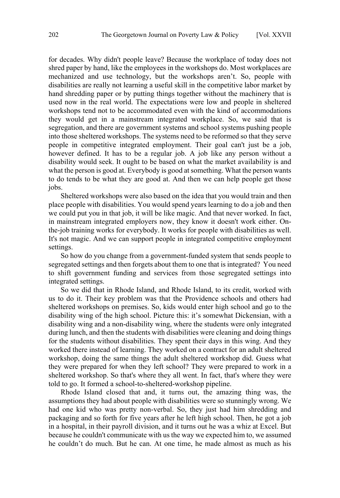for decades. Why didn't people leave? Because the workplace of today does not shred paper by hand, like the employees in the workshops do. Most workplaces are mechanized and use technology, but the workshops aren't. So, people with disabilities are really not learning a useful skill in the competitive labor market by hand shredding paper or by putting things together without the machinery that is used now in the real world. The expectations were low and people in sheltered workshops tend not to be accommodated even with the kind of accommodations they would get in a mainstream integrated workplace. So, we said that is segregation, and there are government systems and school systems pushing people into those sheltered workshops. The systems need to be reformed so that they serve people in competitive integrated employment. Their goal can't just be a job, however defined. It has to be a regular job. A job like any person without a disability would seek. It ought to be based on what the market availability is and what the person is good at. Everybody is good at something. What the person wants to do tends to be what they are good at. And then we can help people get those jobs.

Sheltered workshops were also based on the idea that you would train and then place people with disabilities. You would spend years learning to do a job and then we could put you in that job, it will be like magic. And that never worked. In fact, in mainstream integrated employers now, they know it doesn't work either. Onthe-job training works for everybody. It works for people with disabilities as well. It's not magic. And we can support people in integrated competitive employment settings.

So how do you change from a government-funded system that sends people to segregated settings and then forgets about them to one that is integrated? You need to shift government funding and services from those segregated settings into integrated settings.

So we did that in Rhode Island, and Rhode Island, to its credit, worked with us to do it. Their key problem was that the Providence schools and others had sheltered workshops on premises. So, kids would enter high school and go to the disability wing of the high school. Picture this: it's somewhat Dickensian, with a disability wing and a non-disability wing, where the students were only integrated during lunch, and then the students with disabilities were cleaning and doing things for the students without disabilities. They spent their days in this wing. And they worked there instead of learning. They worked on a contract for an adult sheltered workshop, doing the same things the adult sheltered workshop did. Guess what they were prepared for when they left school? They were prepared to work in a sheltered workshop. So that's where they all went. In fact, that's where they were told to go. It formed a school-to-sheltered-workshop pipeline.

Rhode Island closed that and, it turns out, the amazing thing was, the assumptions they had about people with disabilities were so stunningly wrong. We had one kid who was pretty non-verbal. So, they just had him shredding and packaging and so forth for five years after he left high school. Then, he got a job in a hospital, in their payroll division, and it turns out he was a whiz at Excel. But because he couldn't communicate with us the way we expected him to, we assumed he couldn't do much. But he can. At one time, he made almost as much as his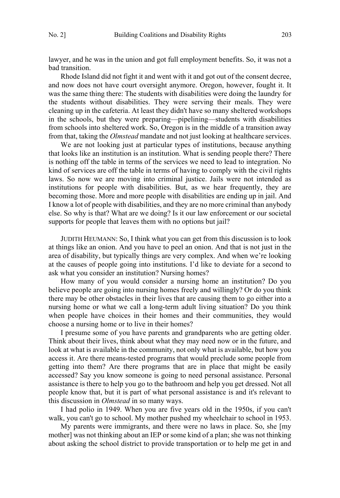lawyer, and he was in the union and got full employment benefits. So, it was not a bad transition.

Rhode Island did not fight it and went with it and got out of the consent decree, and now does not have court oversight anymore. Oregon, however, fought it. It was the same thing there: The students with disabilities were doing the laundry for the students without disabilities. They were serving their meals. They were cleaning up in the cafeteria. At least they didn't have so many sheltered workshops in the schools, but they were preparing—pipelining—students with disabilities from schools into sheltered work. So, Oregon is in the middle of a transition away from that, taking the *Olmstead* mandate and not just looking at healthcare services.

We are not looking just at particular types of institutions, because anything that looks like an institution is an institution. What is sending people there? There is nothing off the table in terms of the services we need to lead to integration. No kind of services are off the table in terms of having to comply with the civil rights laws. So now we are moving into criminal justice. Jails were not intended as institutions for people with disabilities. But, as we hear frequently, they are becoming those. More and more people with disabilities are ending up in jail. And I know a lot of people with disabilities, and they are no more criminal than anybody else. So why is that? What are we doing? Is it our law enforcement or our societal supports for people that leaves them with no options but jail?

JUDITH HEUMANN: So, I think what you can get from this discussion is to look at things like an onion. And you have to peel an onion. And that is not just in the area of disability, but typically things are very complex. And when we're looking at the causes of people going into institutions. I'd like to deviate for a second to ask what you consider an institution? Nursing homes?

How many of you would consider a nursing home an institution? Do you believe people are going into nursing homes freely and willingly? Or do you think there may be other obstacles in their lives that are causing them to go either into a nursing home or what we call a long-term adult living situation? Do you think when people have choices in their homes and their communities, they would choose a nursing home or to live in their homes?

I presume some of you have parents and grandparents who are getting older. Think about their lives, think about what they may need now or in the future, and look at what is available in the community, not only what is available, but how you access it. Are there means-tested programs that would preclude some people from getting into them? Are there programs that are in place that might be easily accessed? Say you know someone is going to need personal assistance. Personal assistance is there to help you go to the bathroom and help you get dressed. Not all people know that, but it is part of what personal assistance is and it's relevant to this discussion in *Olmstead* in so many ways.

I had polio in 1949. When you are five years old in the 1950s, if you can't walk, you can't go to school. My mother pushed my wheelchair to school in 1953.

My parents were immigrants, and there were no laws in place. So, she [my mother] was not thinking about an IEP or some kind of a plan; she was not thinking about asking the school district to provide transportation or to help me get in and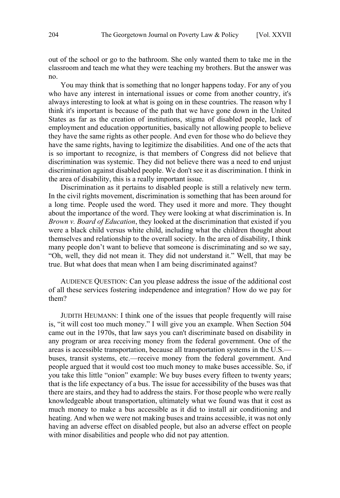out of the school or go to the bathroom. She only wanted them to take me in the classroom and teach me what they were teaching my brothers. But the answer was no.

You may think that is something that no longer happens today. For any of you who have any interest in international issues or come from another country, it's always interesting to look at what is going on in these countries. The reason why I think it's important is because of the path that we have gone down in the United States as far as the creation of institutions, stigma of disabled people, lack of employment and education opportunities, basically not allowing people to believe they have the same rights as other people. And even for those who do believe they have the same rights, having to legitimize the disabilities. And one of the acts that is so important to recognize, is that members of Congress did not believe that discrimination was systemic. They did not believe there was a need to end unjust discrimination against disabled people. We don't see it as discrimination. I think in the area of disability, this is a really important issue.

Discrimination as it pertains to disabled people is still a relatively new term. In the civil rights movement, discrimination is something that has been around for a long time. People used the word. They used it more and more. They thought about the importance of the word. They were looking at what discrimination is. In *Brown v. Board of Education*, they looked at the discrimination that existed if you were a black child versus white child, including what the children thought about themselves and relationship to the overall society. In the area of disability, I think many people don't want to believe that someone is discriminating and so we say, "Oh, well, they did not mean it. They did not understand it." Well, that may be true. But what does that mean when I am being discriminated against?

AUDIENCE QUESTION: Can you please address the issue of the additional cost of all these services fostering independence and integration? How do we pay for them?

JUDITH HEUMANN: I think one of the issues that people frequently will raise is, "it will cost too much money." I will give you an example. When Section 504 came out in the 1970s, that law says you can't discriminate based on disability in any program or area receiving money from the federal government. One of the areas is accessible transportation, because all transportation systems in the U.S. buses, transit systems, etc.—receive money from the federal government. And people argued that it would cost too much money to make buses accessible. So, if you take this little "onion" example: We buy buses every fifteen to twenty years; that is the life expectancy of a bus. The issue for accessibility of the buses was that there are stairs, and they had to address the stairs. For those people who were really knowledgeable about transportation, ultimately what we found was that it cost as much money to make a bus accessible as it did to install air conditioning and heating. And when we were not making buses and trains accessible, it was not only having an adverse effect on disabled people, but also an adverse effect on people with minor disabilities and people who did not pay attention.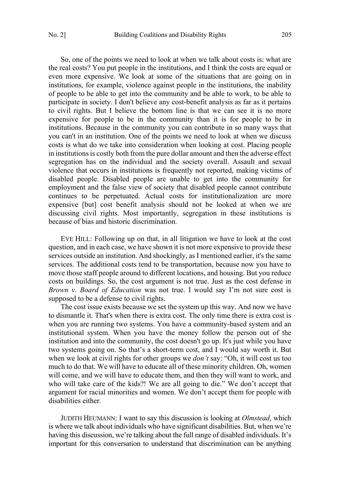So, one of the points we need to look at when we talk about costs is: what are the real costs? You put people in the institutions, and I think the costs are equal or even more expensive. We look at some of the situations that are going on in institutions, for example, violence against people in the institutions, the inability of people to be able to get into the community and be able to work, to be able to participate in society. I don't believe any cost-benefit analysis as far as it pertains to civil rights. But I believe the bottom line is that we can see it is no more expensive for people to be in the community than it is for people to be in institutions. Because in the community you can contribute in so many ways that you can't in an institution. One of the points we need to look at when we discuss costs is what do we take into consideration when looking at cost. Placing people in institutions is costly both from the pure dollar amount and then the adverse effect segregation has on the individual and the society overall. Assault and sexual violence that occurs in institutions is frequently not reported, making victims of disabled people. Disabled people are unable to get into the community for employment and the false view of society that disabled people cannot contribute continues to be perpetuated. Actual costs for institutionalization are more expensive [but] cost benefit analysis should not be looked at when we are discussing civil rights. Most importantly, segregation in these institutions is because of bias and historic discrimination.

EVE HILL: Following up on that, in all litigation we have to look at the cost question, and in each case, we have shown it is not more expensive to provide these services outside an institution. And shockingly, as I mentioned earlier, it's the same services. The additional costs tend to be transportation, because now you have to move those staff people around to different locations, and housing. But you reduce costs on buildings. So, the cost argument is not true. Just as the cost defense in *Brown v. Board of Education* was not true. I would say I'm not sure cost is supposed to be a defense to civil rights.

The cost issue exists because we set the system up this way. And now we have to dismantle it. That's when there is extra cost. The only time there is extra cost is when you are running two systems. You have a community-based system and an institutional system. When you have the money follow the person out of the institution and into the community, the cost doesn't go up. It's just while you have two systems going on. So that's a short-term cost, and I would say worth it. But when we look at civil rights for other groups we *don't* say: "Oh, it will cost us too much to do that. We will have to educate all of these minority children. Oh, women will come, and we will have to educate them, and then they will want to work, and who will take care of the kids?! We are all going to die." We don't accept that argument for racial minorities and women. We don't accept them for people with disabilities either.

JUDITH HEUMANN: I want to say this discussion is looking at *Olmstead*, which is where we talk about individuals who have significant disabilities. But, when we're having this discussion, we're talking about the full range of disabled individuals. It's important for this conversation to understand that discrimination can be anything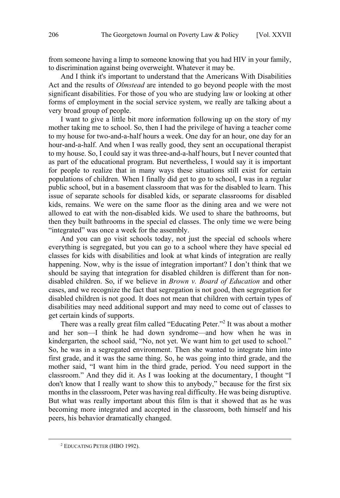from someone having a limp to someone knowing that you had HIV in your family, to discrimination against being overweight. Whatever it may be.

And I think it's important to understand that the Americans With Disabilities Act and the results of *Olmstead* are intended to go beyond people with the most significant disabilities. For those of you who are studying law or looking at other forms of employment in the social service system, we really are talking about a very broad group of people.

I want to give a little bit more information following up on the story of my mother taking me to school. So, then I had the privilege of having a teacher come to my house for two-and-a-half hours a week. One day for an hour, one day for an hour-and-a-half. And when I was really good, they sent an occupational therapist to my house. So, I could say it was three-and-a-half hours, but I never counted that as part of the educational program. But nevertheless, I would say it is important for people to realize that in many ways these situations still exist for certain populations of children. When I finally did get to go to school, I was in a regular public school, but in a basement classroom that was for the disabled to learn. This issue of separate schools for disabled kids, or separate classrooms for disabled kids, remains. We were on the same floor as the dining area and we were not allowed to eat with the non-disabled kids. We used to share the bathrooms, but then they built bathrooms in the special ed classes. The only time we were being "integrated" was once a week for the assembly.

And you can go visit schools today, not just the special ed schools where everything is segregated, but you can go to a school where they have special ed classes for kids with disabilities and look at what kinds of integration are really happening. Now, why is the issue of integration important? I don't think that we should be saying that integration for disabled children is different than for nondisabled children. So, if we believe in *Brown v. Board of Education* and other cases, and we recognize the fact that segregation is not good, then segregation for disabled children is not good. It does not mean that children with certain types of disabilities may need additional support and may need to come out of classes to get certain kinds of supports.

There was a really great film called "Educating Peter."2 It was about a mother and her son—I think he had down syndrome—and how when he was in kindergarten, the school said, "No, not yet. We want him to get used to school." So, he was in a segregated environment. Then she wanted to integrate him into first grade, and it was the same thing. So, he was going into third grade, and the mother said, "I want him in the third grade, period. You need support in the classroom." And they did it. As I was looking at the documentary, I thought "I don't know that I really want to show this to anybody," because for the first six months in the classroom, Peter was having real difficulty. He was being disruptive. But what was really important about this film is that it showed that as he was becoming more integrated and accepted in the classroom, both himself and his peers, his behavior dramatically changed.

 $\overline{a}$ 

<sup>2</sup> EDUCATING PETER (HBO 1992).